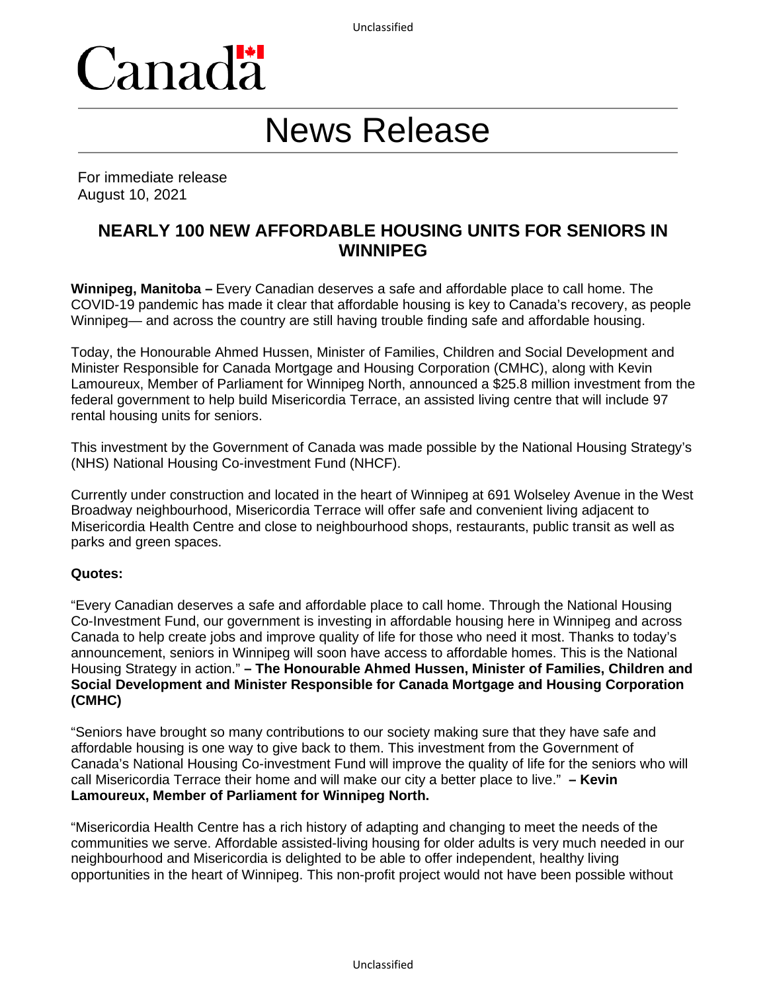

# News Release

For immediate release August 10, 2021

# **NEARLY 100 NEW AFFORDABLE HOUSING UNITS FOR SENIORS IN WINNIPEG**

**Winnipeg, Manitoba –** Every Canadian deserves a safe and affordable place to call home. The COVID-19 pandemic has made it clear that affordable housing is key to Canada's recovery, as people Winnipeg— and across the country are still having trouble finding safe and affordable housing.

Today, the Honourable Ahmed Hussen, Minister of Families, Children and Social Development and Minister Responsible for Canada Mortgage and Housing Corporation (CMHC), along with Kevin Lamoureux, Member of Parliament for Winnipeg North, announced a \$25.8 million investment from the federal government to help build Misericordia Terrace, an assisted living centre that will include 97 rental housing units for seniors.

This investment by the Government of Canada was made possible by the National Housing Strategy's (NHS) National Housing Co-investment Fund (NHCF).

Currently under construction and located in the heart of Winnipeg at 691 Wolseley Avenue in the West Broadway neighbourhood, Misericordia Terrace will offer safe and convenient living adjacent to Misericordia Health Centre and close to neighbourhood shops, restaurants, public transit as well as parks and green spaces.

#### **Quotes:**

"Every Canadian deserves a safe and affordable place to call home. Through the National Housing Co-Investment Fund, our government is investing in affordable housing here in Winnipeg and across Canada to help create jobs and improve quality of life for those who need it most. Thanks to today's announcement, seniors in Winnipeg will soon have access to affordable homes. This is the National Housing Strategy in action." **– The Honourable Ahmed Hussen, Minister of Families, Children and Social Development and Minister Responsible for Canada Mortgage and Housing Corporation (CMHC)**

"Seniors have brought so many contributions to our society making sure that they have safe and affordable housing is one way to give back to them. This investment from the Government of Canada's National Housing Co-investment Fund will improve the quality of life for the seniors who will call Misericordia Terrace their home and will make our city a better place to live." **– Kevin Lamoureux, Member of Parliament for Winnipeg North.**

"Misericordia Health Centre has a rich history of adapting and changing to meet the needs of the communities we serve. Affordable assisted-living housing for older adults is very much needed in our neighbourhood and Misericordia is delighted to be able to offer independent, healthy living opportunities in the heart of Winnipeg. This non-profit project would not have been possible without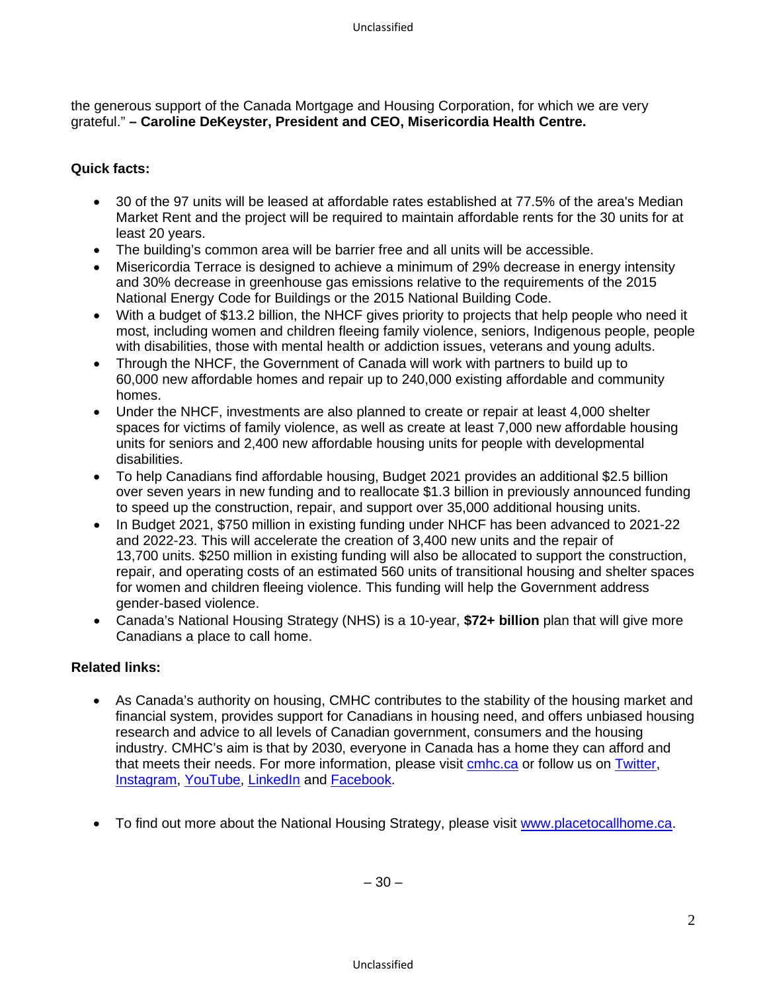the generous support of the Canada Mortgage and Housing Corporation, for which we are very grateful." **– Caroline DeKeyster, President and CEO, Misericordia Health Centre.**

### **Quick facts:**

- 30 of the 97 units will be leased at affordable rates established at 77.5% of the area's Median Market Rent and the project will be required to maintain affordable rents for the 30 units for at least 20 years.
- The building's common area will be barrier free and all units will be accessible.
- Misericordia Terrace is designed to achieve a minimum of 29% decrease in energy intensity and 30% decrease in greenhouse gas emissions relative to the requirements of the 2015 National Energy Code for Buildings or the 2015 National Building Code.
- With a budget of \$13.2 billion, the NHCF gives priority to projects that help people who need it most, including women and children fleeing family violence, seniors, Indigenous people, people with disabilities, those with mental health or addiction issues, veterans and young adults.
- Through the NHCF, the Government of Canada will work with partners to build up to 60,000 new affordable homes and repair up to 240,000 existing affordable and community homes.
- Under the NHCF, investments are also planned to create or repair at least 4,000 shelter spaces for victims of family violence, as well as create at least 7,000 new affordable housing units for seniors and 2,400 new affordable housing units for people with developmental disabilities.
- To help Canadians find affordable housing, Budget 2021 provides an additional \$2.5 billion over seven years in new funding and to reallocate \$1.3 billion in previously announced funding to speed up the construction, repair, and support over 35,000 additional housing units.
- In Budget 2021, \$750 million in existing funding under NHCF has been advanced to 2021-22 and 2022-23. This will accelerate the creation of 3,400 new units and the repair of 13,700 units. \$250 million in existing funding will also be allocated to support the construction, repair, and operating costs of an estimated 560 units of transitional housing and shelter spaces for women and children fleeing violence. This funding will help the Government address gender-based violence.
- Canada's National Housing Strategy (NHS) is a 10-year, **\$72+ billion** plan that will give more Canadians a place to call home.

#### **Related links:**

- As Canada's authority on housing, CMHC contributes to the stability of the housing market and financial system, provides support for Canadians in housing need, and offers unbiased housing research and advice to all levels of Canadian government, consumers and the housing industry. CMHC's aim is that by 2030, everyone in Canada has a home they can afford and that meets their needs. For more information, please visit **cmhc.ca** or follow us on **Twitter**, [Instagram,](https://www.instagram.com/cmhc_schl/) [YouTube,](https://www.youtube.com/user/CMHCca) [LinkedIn](https://www.linkedin.com/company/canada-mortgage-and-housing-corporation) and [Facebook.](https://www.facebook.com/schl.cmhc)
- To find out more about the National Housing Strategy, please visit [www.placetocallhome.ca.](http://www.placetocallhome.ca/)